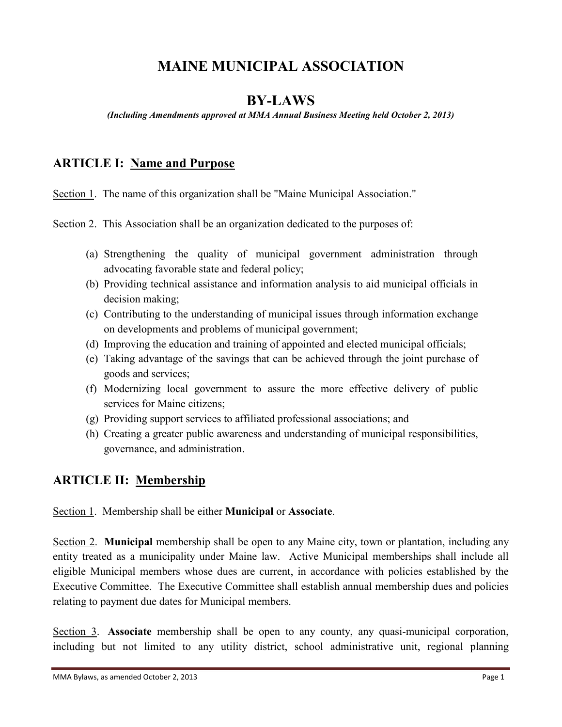# **MAINE MUNICIPAL ASSOCIATION**

### **BY-LAWS**

*(Including Amendments approved at MMA Annual Business Meeting held October 2, 2013)*

### **ARTICLE I: Name and Purpose**

Section 1. The name of this organization shall be "Maine Municipal Association."

Section 2. This Association shall be an organization dedicated to the purposes of:

- (a) Strengthening the quality of municipal government administration through advocating favorable state and federal policy;
- (b) Providing technical assistance and information analysis to aid municipal officials in decision making;
- (c) Contributing to the understanding of municipal issues through information exchange on developments and problems of municipal government;
- (d) Improving the education and training of appointed and elected municipal officials;
- (e) Taking advantage of the savings that can be achieved through the joint purchase of goods and services;
- (f) Modernizing local government to assure the more effective delivery of public services for Maine citizens;
- (g) Providing support services to affiliated professional associations; and
- (h) Creating a greater public awareness and understanding of municipal responsibilities, governance, and administration.

### **ARTICLE II: Membership**

Section 1. Membership shall be either **Municipal** or **Associate**.

Section 2. **Municipal** membership shall be open to any Maine city, town or plantation, including any entity treated as a municipality under Maine law. Active Municipal memberships shall include all eligible Municipal members whose dues are current, in accordance with policies established by the Executive Committee. The Executive Committee shall establish annual membership dues and policies relating to payment due dates for Municipal members.

Section 3. **Associate** membership shall be open to any county, any quasi-municipal corporation, including but not limited to any utility district, school administrative unit, regional planning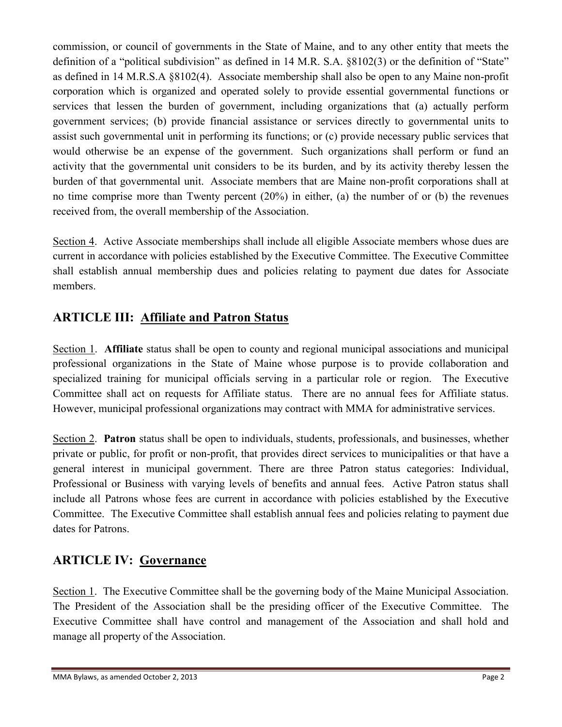commission, or council of governments in the State of Maine, and to any other entity that meets the definition of a "political subdivision" as defined in 14 M.R. S.A. §8102(3) or the definition of "State" as defined in 14 M.R.S.A §8102(4). Associate membership shall also be open to any Maine non-profit corporation which is organized and operated solely to provide essential governmental functions or services that lessen the burden of government, including organizations that (a) actually perform government services; (b) provide financial assistance or services directly to governmental units to assist such governmental unit in performing its functions; or (c) provide necessary public services that would otherwise be an expense of the government. Such organizations shall perform or fund an activity that the governmental unit considers to be its burden, and by its activity thereby lessen the burden of that governmental unit. Associate members that are Maine non-profit corporations shall at no time comprise more than Twenty percent (20%) in either, (a) the number of or (b) the revenues received from, the overall membership of the Association.

Section 4. Active Associate memberships shall include all eligible Associate members whose dues are current in accordance with policies established by the Executive Committee. The Executive Committee shall establish annual membership dues and policies relating to payment due dates for Associate members.

# **ARTICLE III: Affiliate and Patron Status**

Section 1. **Affiliate** status shall be open to county and regional municipal associations and municipal professional organizations in the State of Maine whose purpose is to provide collaboration and specialized training for municipal officials serving in a particular role or region. The Executive Committee shall act on requests for Affiliate status. There are no annual fees for Affiliate status. However, municipal professional organizations may contract with MMA for administrative services.

Section 2. **Patron** status shall be open to individuals, students, professionals, and businesses, whether private or public, for profit or non-profit, that provides direct services to municipalities or that have a general interest in municipal government. There are three Patron status categories: Individual, Professional or Business with varying levels of benefits and annual fees. Active Patron status shall include all Patrons whose fees are current in accordance with policies established by the Executive Committee. The Executive Committee shall establish annual fees and policies relating to payment due dates for Patrons.

### **ARTICLE IV: Governance**

Section 1. The Executive Committee shall be the governing body of the Maine Municipal Association. The President of the Association shall be the presiding officer of the Executive Committee. The Executive Committee shall have control and management of the Association and shall hold and manage all property of the Association.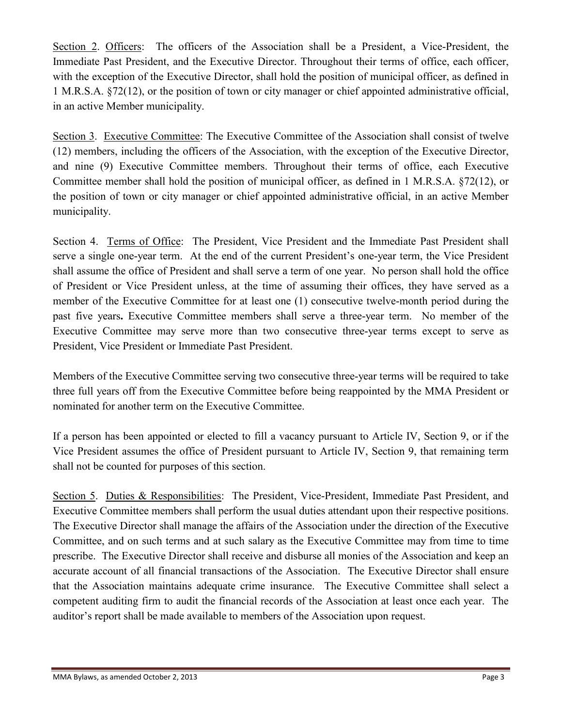Section 2. Officers: The officers of the Association shall be a President, a Vice-President, the Immediate Past President, and the Executive Director. Throughout their terms of office, each officer, with the exception of the Executive Director, shall hold the position of municipal officer, as defined in 1 M.R.S.A. §72(12), or the position of town or city manager or chief appointed administrative official, in an active Member municipality.

Section 3. Executive Committee: The Executive Committee of the Association shall consist of twelve (12) members, including the officers of the Association, with the exception of the Executive Director, and nine (9) Executive Committee members. Throughout their terms of office, each Executive Committee member shall hold the position of municipal officer, as defined in 1 M.R.S.A. §72(12), or the position of town or city manager or chief appointed administrative official, in an active Member municipality.

Section 4. Terms of Office: The President, Vice President and the Immediate Past President shall serve a single one-year term. At the end of the current President's one-year term, the Vice President shall assume the office of President and shall serve a term of one year. No person shall hold the office of President or Vice President unless, at the time of assuming their offices, they have served as a member of the Executive Committee for at least one (1) consecutive twelve-month period during the past five years**.** Executive Committee members shall serve a three-year term. No member of the Executive Committee may serve more than two consecutive three-year terms except to serve as President, Vice President or Immediate Past President.

Members of the Executive Committee serving two consecutive three-year terms will be required to take three full years off from the Executive Committee before being reappointed by the MMA President or nominated for another term on the Executive Committee.

If a person has been appointed or elected to fill a vacancy pursuant to Article IV, Section 9, or if the Vice President assumes the office of President pursuant to Article IV, Section 9, that remaining term shall not be counted for purposes of this section.

Section 5. Duties & Responsibilities: The President, Vice-President, Immediate Past President, and Executive Committee members shall perform the usual duties attendant upon their respective positions. The Executive Director shall manage the affairs of the Association under the direction of the Executive Committee, and on such terms and at such salary as the Executive Committee may from time to time prescribe. The Executive Director shall receive and disburse all monies of the Association and keep an accurate account of all financial transactions of the Association. The Executive Director shall ensure that the Association maintains adequate crime insurance. The Executive Committee shall select a competent auditing firm to audit the financial records of the Association at least once each year. The auditor's report shall be made available to members of the Association upon request.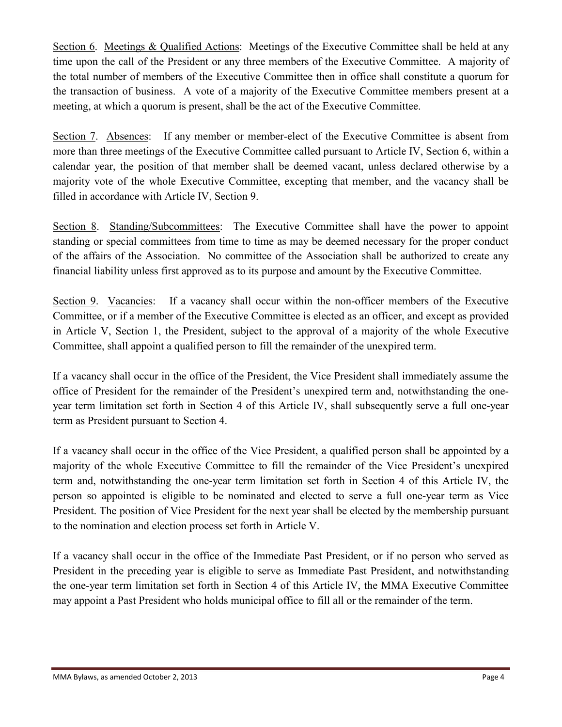Section 6. Meetings & Qualified Actions: Meetings of the Executive Committee shall be held at any time upon the call of the President or any three members of the Executive Committee. A majority of the total number of members of the Executive Committee then in office shall constitute a quorum for the transaction of business. A vote of a majority of the Executive Committee members present at a meeting, at which a quorum is present, shall be the act of the Executive Committee.

Section 7. Absences: If any member or member-elect of the Executive Committee is absent from more than three meetings of the Executive Committee called pursuant to Article IV, Section 6, within a calendar year, the position of that member shall be deemed vacant, unless declared otherwise by a majority vote of the whole Executive Committee, excepting that member, and the vacancy shall be filled in accordance with Article IV, Section 9.

Section 8. Standing/Subcommittees: The Executive Committee shall have the power to appoint standing or special committees from time to time as may be deemed necessary for the proper conduct of the affairs of the Association. No committee of the Association shall be authorized to create any financial liability unless first approved as to its purpose and amount by the Executive Committee.

Section 9. Vacancies: If a vacancy shall occur within the non-officer members of the Executive Committee, or if a member of the Executive Committee is elected as an officer, and except as provided in Article V, Section 1, the President, subject to the approval of a majority of the whole Executive Committee, shall appoint a qualified person to fill the remainder of the unexpired term.

If a vacancy shall occur in the office of the President, the Vice President shall immediately assume the office of President for the remainder of the President's unexpired term and, notwithstanding the oneyear term limitation set forth in Section 4 of this Article IV, shall subsequently serve a full one-year term as President pursuant to Section 4.

If a vacancy shall occur in the office of the Vice President, a qualified person shall be appointed by a majority of the whole Executive Committee to fill the remainder of the Vice President's unexpired term and, notwithstanding the one-year term limitation set forth in Section 4 of this Article IV, the person so appointed is eligible to be nominated and elected to serve a full one-year term as Vice President. The position of Vice President for the next year shall be elected by the membership pursuant to the nomination and election process set forth in Article V.

If a vacancy shall occur in the office of the Immediate Past President, or if no person who served as President in the preceding year is eligible to serve as Immediate Past President, and notwithstanding the one-year term limitation set forth in Section 4 of this Article IV, the MMA Executive Committee may appoint a Past President who holds municipal office to fill all or the remainder of the term.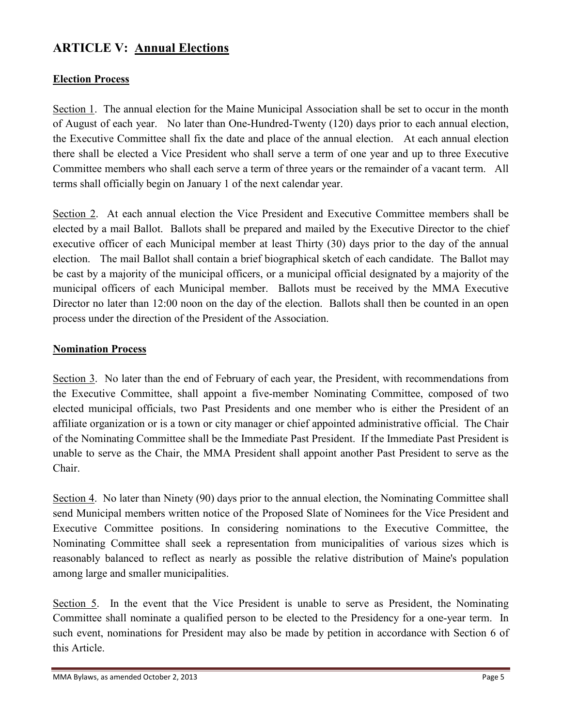### **ARTICLE V: Annual Elections**

#### **Election Process**

Section 1. The annual election for the Maine Municipal Association shall be set to occur in the month of August of each year. No later than One-Hundred-Twenty (120) days prior to each annual election, the Executive Committee shall fix the date and place of the annual election. At each annual election there shall be elected a Vice President who shall serve a term of one year and up to three Executive Committee members who shall each serve a term of three years or the remainder of a vacant term. All terms shall officially begin on January 1 of the next calendar year.

Section 2. At each annual election the Vice President and Executive Committee members shall be elected by a mail Ballot. Ballots shall be prepared and mailed by the Executive Director to the chief executive officer of each Municipal member at least Thirty (30) days prior to the day of the annual election. The mail Ballot shall contain a brief biographical sketch of each candidate. The Ballot may be cast by a majority of the municipal officers, or a municipal official designated by a majority of the municipal officers of each Municipal member. Ballots must be received by the MMA Executive Director no later than 12:00 noon on the day of the election. Ballots shall then be counted in an open process under the direction of the President of the Association.

#### **Nomination Process**

Section 3. No later than the end of February of each year, the President, with recommendations from the Executive Committee, shall appoint a five-member Nominating Committee, composed of two elected municipal officials, two Past Presidents and one member who is either the President of an affiliate organization or is a town or city manager or chief appointed administrative official. The Chair of the Nominating Committee shall be the Immediate Past President. If the Immediate Past President is unable to serve as the Chair, the MMA President shall appoint another Past President to serve as the Chair.

Section 4. No later than Ninety (90) days prior to the annual election, the Nominating Committee shall send Municipal members written notice of the Proposed Slate of Nominees for the Vice President and Executive Committee positions. In considering nominations to the Executive Committee, the Nominating Committee shall seek a representation from municipalities of various sizes which is reasonably balanced to reflect as nearly as possible the relative distribution of Maine's population among large and smaller municipalities.

Section 5. In the event that the Vice President is unable to serve as President, the Nominating Committee shall nominate a qualified person to be elected to the Presidency for a one-year term. In such event, nominations for President may also be made by petition in accordance with Section 6 of this Article.